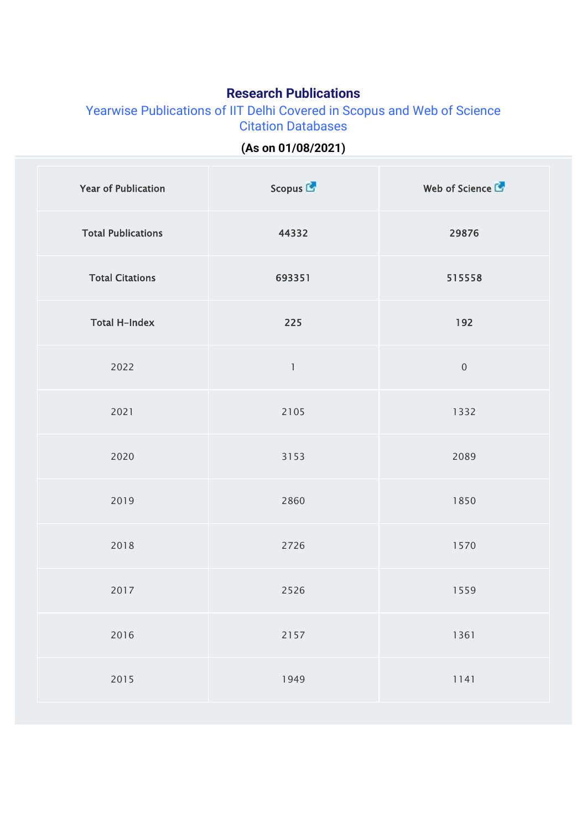## **Research Publications**

Yearwise Publications of IIT Delhi Covered in Scopus and Web of Science Citation Databases

## **(As on 01/08/2021)**

| <b>Year of Publication</b> | Scopus L'    | Web of Science   |
|----------------------------|--------------|------------------|
| <b>Total Publications</b>  | 44332        | 29876            |
| <b>Total Citations</b>     | 693351       | 515558           |
| <b>Total H-Index</b>       | 225          | 192              |
| 2022                       | $\mathbf{1}$ | $\boldsymbol{0}$ |
| 2021                       | 2105         | 1332             |
| 2020                       | 3153         | 2089             |
| 2019                       | 2860         | 1850             |
| 2018                       | 2726         | 1570             |
| 2017                       | 2526         | 1559             |
| 2016                       | 2157         | 1361             |
| 2015                       | 1949         | 1141             |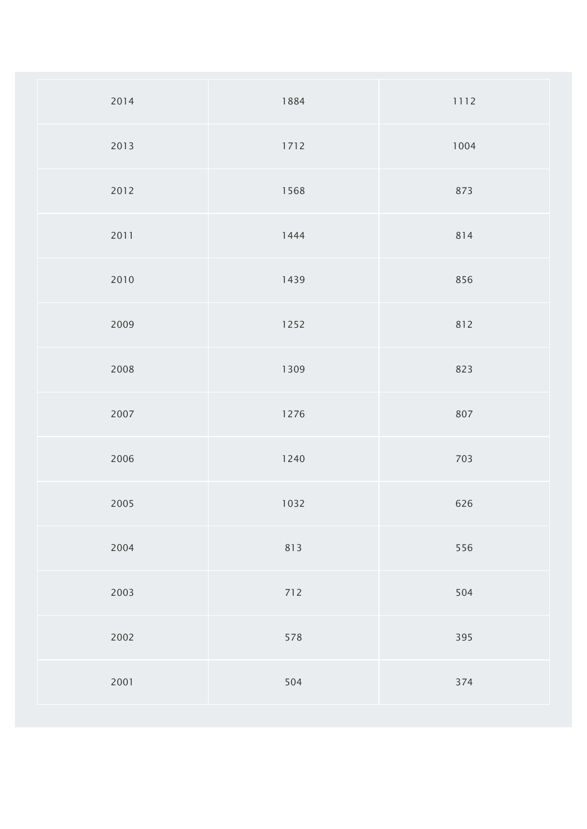| 2014 | 1884 | 1112 |
|------|------|------|
| 2013 | 1712 | 1004 |
| 2012 | 1568 | 873  |
| 2011 | 1444 | 814  |
| 2010 | 1439 | 856  |
| 2009 | 1252 | 812  |
| 2008 | 1309 | 823  |
| 2007 | 1276 | 807  |
| 2006 | 1240 | 703  |
| 2005 | 1032 | 626  |
| 2004 | 813  | 556  |
| 2003 | 712  | 504  |
| 2002 | 578  | 395  |
| 2001 | 504  | 374  |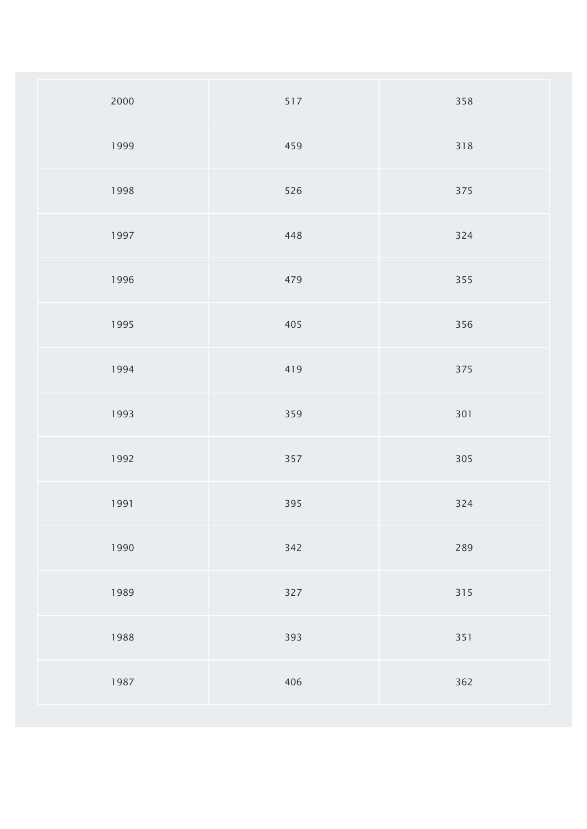| 2000 | 517 | 358 |
|------|-----|-----|
| 1999 | 459 | 318 |
| 1998 | 526 | 375 |
| 1997 | 448 | 324 |
| 1996 | 479 | 355 |
| 1995 | 405 | 356 |
| 1994 | 419 | 375 |
| 1993 | 359 | 301 |
| 1992 | 357 | 305 |
| 1991 | 395 | 324 |
| 1990 | 342 | 289 |
| 1989 | 327 | 315 |
| 1988 | 393 | 351 |
| 1987 | 406 | 362 |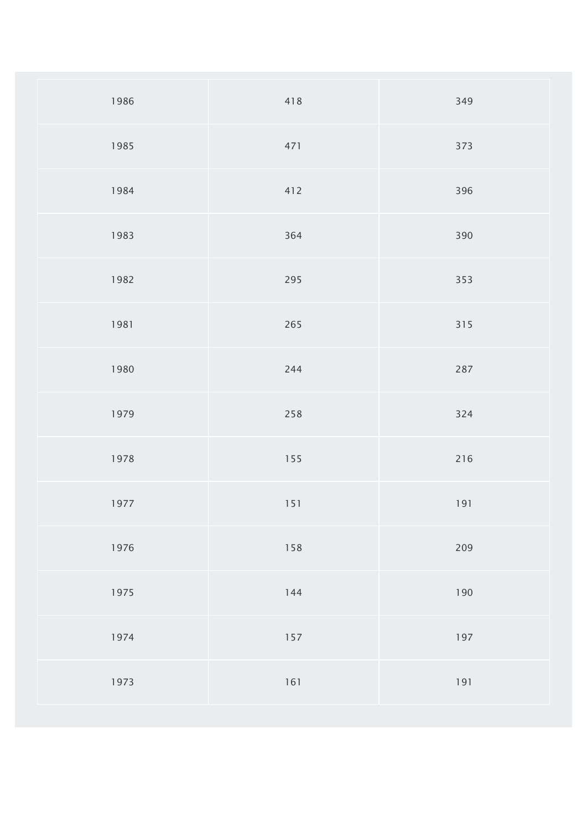| 1986 | 418     | 349   |
|------|---------|-------|
| 1985 | 471     | 373   |
| 1984 | 412     | 396   |
| 1983 | 364     | 390   |
| 1982 | 295     | 353   |
| 1981 | 265     | 315   |
| 1980 | 244     | 287   |
| 1979 | 258     | 324   |
| 1978 | 155     | 216   |
| 1977 | $151$   | 191   |
| 1976 | 158     | 209   |
| 1975 | $144$   | 190   |
| 1974 | $157\,$ | 197   |
| 1973 | $161$   | $191$ |